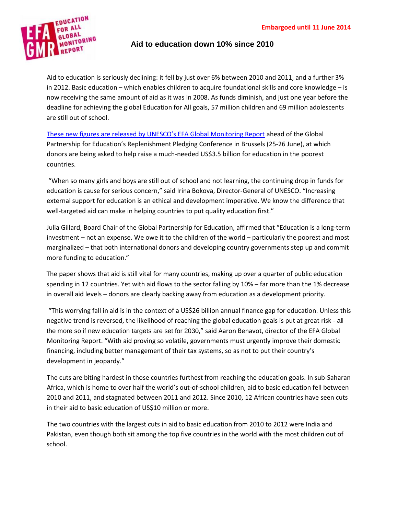

## **Aid to education down 10% since 2010**

Aid to education is seriously declining: it fell by just over 6% between 2010 and 2011, and a further 3% in 2012. Basic education – which enables children to acquire foundational skills and core knowledge – is now receiving the same amount of aid as it was in 2008. As funds diminish, and just one year before the deadline for achieving the global Education for All goals, 57 million children and 69 million adolescents are still out of school.

These new figures are released by UNESCO's EFA Global [Monitoring](http://unesdoc.unesco.org/images/0022/002280/228057E.pdf) Report ahead of the Global Partnership for Education's Replenishment Pledging Conference in Brussels (25-26 June), at which donors are being asked to help raise a much-needed US\$3.5 billion for education in the poorest countries.

"When so many girls and boys are still out of school and not learning, the continuing drop in funds for education is cause for serious concern," said Irina Bokova, Director-General of UNESCO. "Increasing external support for education is an ethical and development imperative. We know the difference that well-targeted aid can make in helping countries to put quality education first."

Julia Gillard, Board Chair of the Global Partnership for Education, affirmed that "Education is a long-term investment – not an expense. We owe it to the children of the world – particularly the poorest and most marginalized – that both international donors and developing country governments step up and commit more funding to education."

The paper shows that aid is still vital for many countries, making up over a quarter of public education spending in 12 countries. Yet with aid flows to the sector falling by 10% – far more than the 1% decrease in overall aid levels – donors are clearly backing away from education as a development priority.

"This worrying fall in aid is in the context of a US\$26 billion annual finance gap for education. Unless this negative trend is reversed, the likelihood of reaching the global education goals is put at great risk - all the more so if new education targets are set for 2030," said Aaron Benavot, director of the EFA Global Monitoring Report. "With aid proving so volatile, governments must urgently improve their domestic financing, including better management of their tax systems, so as not to put their country's development in jeopardy."

The cuts are biting hardest in those countries furthest from reaching the education goals. In sub-Saharan Africa, which is home to over half the world's out-of-school children, aid to basic education fell between 2010 and 2011, and stagnated between 2011 and 2012. Since 2010, 12 African countries have seen cuts in their aid to basic education of US\$10 million or more.

The two countries with the largest cuts in aid to basic education from 2010 to 2012 were India and Pakistan, even though both sit among the top five countries in the world with the most children out of school.